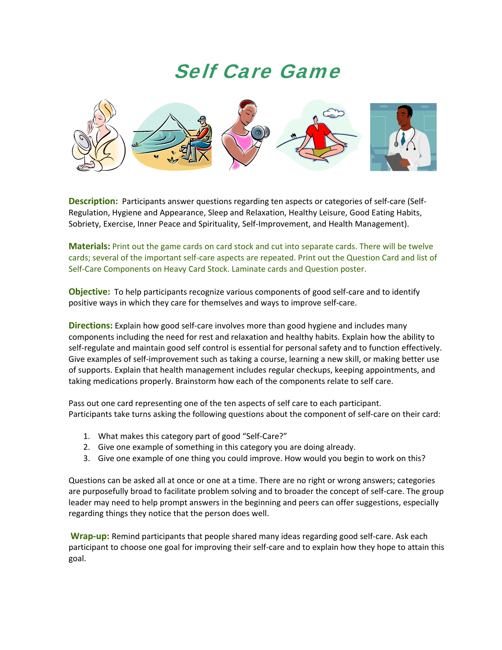## Self Care Game



**Description:** Participants answer questions regarding ten aspects or categories of self-care (Self-Regulation, Hygiene and Appearance, Sleep and Relaxation, Healthy Leisure, Good Eating Habits, Sobriety, Exercise, Inner Peace and Spirituality, Self‐Improvement, and Health Management).

**Materials:** Print out the game cards on card stock and cut into separate cards. There will be twelve cards; several of the important self‐care aspects are repeated. Print out the Question Card and list of Self-Care Components on Heavy Card Stock. Laminate cards and Question poster.

**Objective:** To help participants recognize various components of good self-care and to identify positive ways in which they care for themselves and ways to improve self‐care.

**Directions:** Explain how good self-care involves more than good hygiene and includes many components including the need for rest and relaxation and healthy habits. Explain how the ability to self-regulate and maintain good self control is essential for personal safety and to function effectively. Give examples of self-improvement such as taking a course, learning a new skill, or making better use of supports. Explain that health management includes regular checkups, keeping appointments, and taking medications properly. Brainstorm how each of the components relate to self care.

Pass out one card representing one of the ten aspects of self care to each participant. Participants take turns asking the following questions about the component of self‐care on their card:

- 1. What makes this category part of good "Self‐Care?"
- 2. Give one example of something in this category you are doing already.
- 3. Give one example of one thing you could improve. How would you begin to work on this?

Questions can be asked all at once or one at a time. There are no right or wrong answers; categories are purposefully broad to facilitate problem solving and to broader the concept of self-care. The group leader may need to help prompt answers in the beginning and peers can offer suggestions, especially regarding things they notice that the person does well.

**Wrap‐up:** Remind participants that people shared many ideas regarding good self‐care. Ask each participant to choose one goal for improving their self-care and to explain how they hope to attain this goal.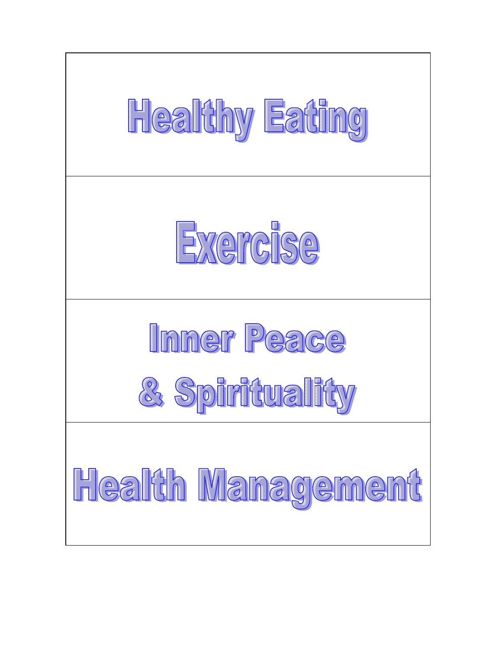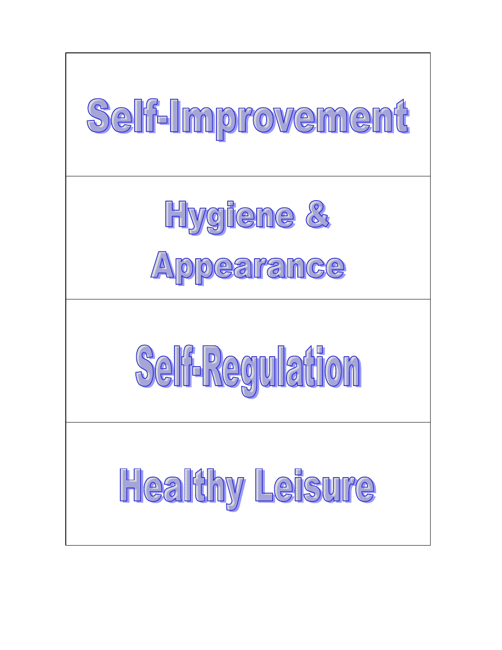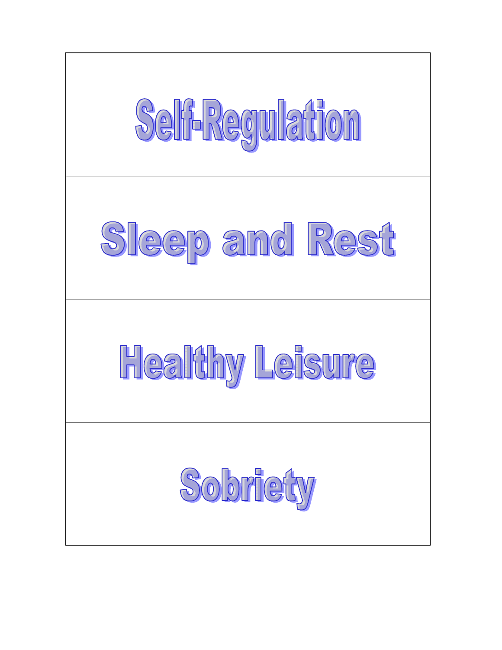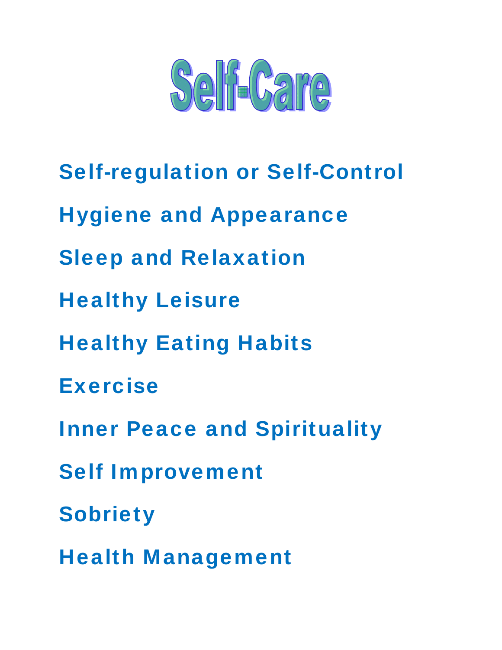

Self-regulation or Self-Control Hygiene and Appearance Sleep and Relaxation Healthy Leisure Healthy Eating Habits Exercise Inner Peace and Spirituality Self Improvement **Sobriety** Health Management